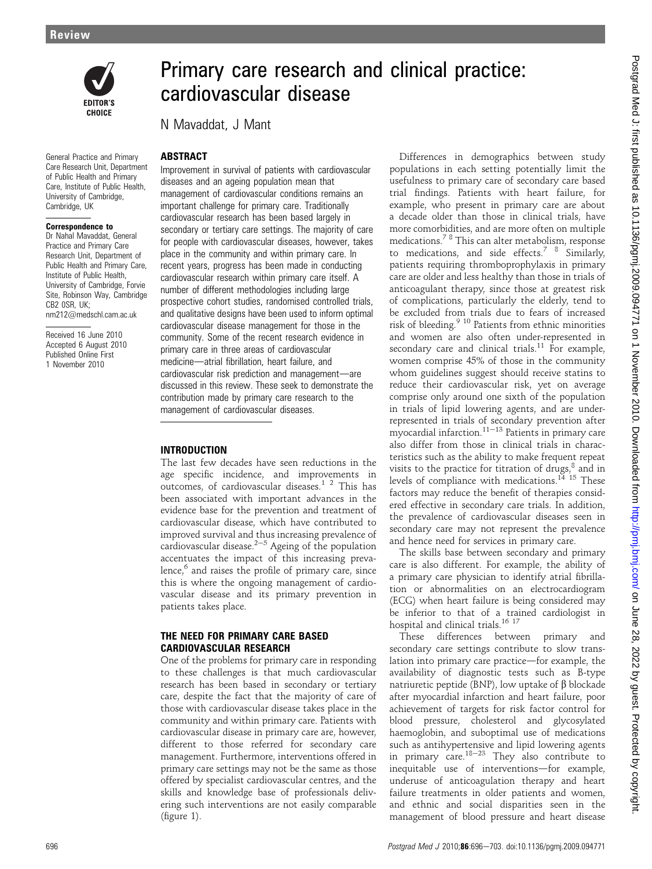

General Practice and Primary

University of Cambridge, Cambridge, UK Correspondence to

Practice and Primary Care

Institute of Public Health,

Received 16 June 2010 Accepted 6 August 2010 Published Online First 1 November 2010

CB2 0SR, UK;

Primary care research and clinical practice: cardiovascular disease

N Mavaddat, J Mant

### **ABSTRACT**

Improvement in survival of patients with cardiovascular diseases and an ageing population mean that management of cardiovascular conditions remains an important challenge for primary care. Traditionally cardiovascular research has been based largely in secondary or tertiary care settings. The majority of care for people with cardiovascular diseases, however, takes place in the community and within primary care. In recent years, progress has been made in conducting cardiovascular research within primary care itself. A number of different methodologies including large prospective cohort studies, randomised controlled trials, and qualitative designs have been used to inform optimal cardiovascular disease management for those in the community. Some of the recent research evidence in primary care in three areas of cardiovascular medicine-atrial fibrillation, heart failure, and cardiovascular risk prediction and management-are discussed in this review. These seek to demonstrate the contribution made by primary care research to the management of cardiovascular diseases. Care Research Unit, Department of Public Health and Primary Care, Institute of Public Health, Dr Nahal Mavaddat, General Research Unit, Department of Public Health and Primary Care, University of Cambridge, Forvie Site, Robinson Way, Cambridge nm212@medschl.cam.ac.uk

### INTRODUCTION

The last few decades have seen reductions in the age specific incidence, and improvements in outcomes, of cardiovascular diseases.<sup>1</sup> <sup>2</sup> This has been associated with important advances in the evidence base for the prevention and treatment of cardiovascular disease, which have contributed to improved survival and thus increasing prevalence of cardiovascular disease. $2-5$  Ageing of the population accentuates the impact of this increasing prevalence, $6$  and raises the profile of primary care, since this is where the ongoing management of cardiovascular disease and its primary prevention in patients takes place.

### THE NEED FOR PRIMARY CARE BASED CARDIOVASCULAR RESEARCH

One of the problems for primary care in responding to these challenges is that much cardiovascular research has been based in secondary or tertiary care, despite the fact that the majority of care of those with cardiovascular disease takes place in the community and within primary care. Patients with cardiovascular disease in primary care are, however, different to those referred for secondary care management. Furthermore, interventions offered in primary care settings may not be the same as those offered by specialist cardiovascular centres, and the skills and knowledge base of professionals delivering such interventions are not easily comparable (figure 1).

Differences in demographics between study populations in each setting potentially limit the usefulness to primary care of secondary care based trial findings. Patients with heart failure, for example, who present in primary care are about a decade older than those in clinical trials, have more comorbidities, and are more often on multiple medications.<sup>7</sup> <sup>8</sup> This can alter metabolism, response to medications, and side effects.<sup>7</sup> <sup>8</sup> Similarly, patients requiring thromboprophylaxis in primary care are older and less healthy than those in trials of anticoagulant therapy, since those at greatest risk of complications, particularly the elderly, tend to be excluded from trials due to fears of increased risk of bleeding.9 10 Patients from ethnic minorities and women are also often under-represented in secondary care and clinical trials.<sup>11</sup> For example, women comprise 45% of those in the community whom guidelines suggest should receive statins to reduce their cardiovascular risk, yet on average comprise only around one sixth of the population in trials of lipid lowering agents, and are underrepresented in trials of secondary prevention after<br>myocardial infarction.<sup>11–13</sup> Patients in primary care also differ from those in clinical trials in characteristics such as the ability to make frequent repeat visits to the practice for titration of drugs,<sup>8</sup> and in levels of compliance with medications.14 15 These factors may reduce the benefit of therapies considered effective in secondary care trials. In addition, the prevalence of cardiovascular diseases seen in secondary care may not represent the prevalence and hence need for services in primary care.

The skills base between secondary and primary care is also different. For example, the ability of a primary care physician to identify atrial fibrillation or abnormalities on an electrocardiogram (ECG) when heart failure is being considered may be inferior to that of a trained cardiologist in hospital and clinical trials.<sup>16 17</sup>

These differences between primary and secondary care settings contribute to slow translation into primary care practice—for example, the availability of diagnostic tests such as B-type natriuretic peptide (BNP), low uptake of  $\beta$  blockade after myocardial infarction and heart failure, poor achievement of targets for risk factor control for blood pressure, cholesterol and glycosylated haemoglobin, and suboptimal use of medications such as antihypertensive and lipid lowering agents in primary care. $18-23$  They also contribute to inequitable use of interventions-for example, underuse of anticoagulation therapy and heart failure treatments in older patients and women, and ethnic and social disparities seen in the management of blood pressure and heart disease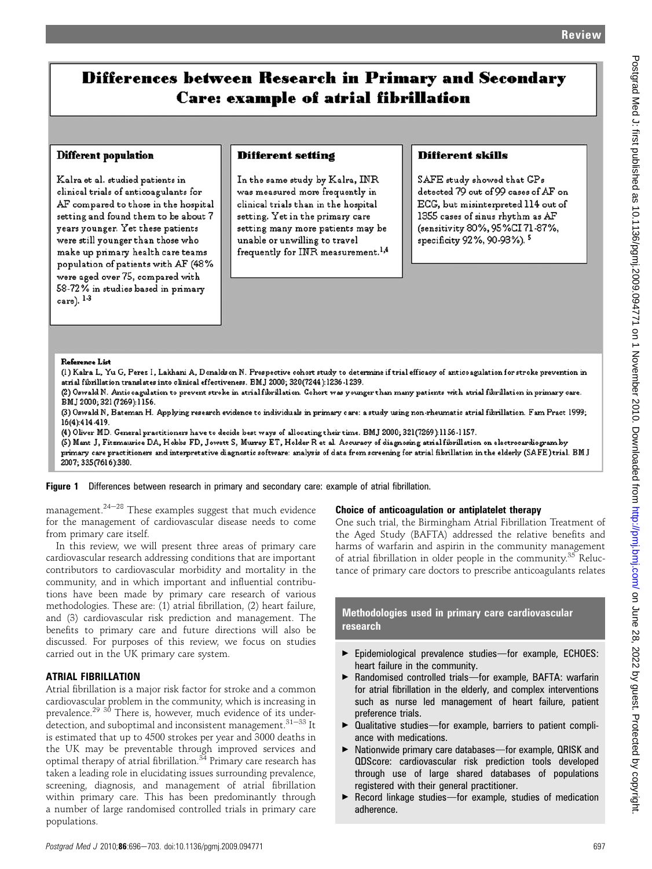# **Differences between Research in Primary and Secondary Care: example of atrial fibrillation**

### **Different population**

Kalra et al. studied patients in clinical trials of anticoagulants for AF compared to those in the hospital setting and found them to be about 7 years younger. Yet these patients were still younger than those who make up primary health care teams population of patients with AF (48% were aged over 75, compared with 58-72% in studies based in primary care).  $1-3$ 

# **Different setting**

In the same study by Kalra, INR was measured more frequently in clinical trials than in the hospital setting. Yet in the primary care setting many more patients may be unable or unwilling to travel frequently for INR measurement.<sup>1,4</sup>

### **Different skills**

SAFE study showed that GPs detected 79 out of 99 cases of AF on ECG, but misinterpreted 114 out of 1355 cases of sinus rhythm as AF (sensitivity 80%, 95%CI 71-87%, specificity 92%, 90-93%).<sup>5</sup>

#### Reference List

(1) Kalra L, Yu G, Perez I, Lakhani A, Donaldson N. Prospective cohort study to determine if trial efficacy of anticoagulation for stroke prevention in atrial fibrillation translates into clinical effectiveness. BMJ 2000; 320(7244):1236-1239. (2) Oswald N. Anticoagulation to prevent stroke in atrial fibrillation. Cohort was younger than many patients with atrial fibrillation in primary care. BMJ 2000; 321 (7269):1156 (3) Oswald N, Bateman H. Applying research evidence to individuals in primary care: a study using non-rheumatic atrial fibrillation. Fam Pract 1999; 16(4):414-419. (4) Oliver MD. General practitioners have to decide best ways of allocating their time. BMJ 2000; 321(7269):1156-1157.

(5) Mant J, Fitzmaurice DA, Hobbs FD, Jowett S, Murray ET, Holder R et al. Accuracy of diagnosing atrial fibrillation on electrocardiogram by primary care practitioners and interpretative diagnostic software: analysis of data from screening for atrial fibrillation in the elderly (SAFE) trial. BM J 2007; 335 (7616):380.

Figure 1 Differences between research in primary and secondary care: example of atrial fibrillation.

management.<sup>24–28</sup> These examples suggest that much evidence for the management of cardiovascular disease needs to come from primary care itself.

In this review, we will present three areas of primary care cardiovascular research addressing conditions that are important contributors to cardiovascular morbidity and mortality in the community, and in which important and influential contributions have been made by primary care research of various methodologies. These are: (1) atrial fibrillation, (2) heart failure, and (3) cardiovascular risk prediction and management. The benefits to primary care and future directions will also be discussed. For purposes of this review, we focus on studies carried out in the UK primary care system.

### ATRIAL FIBRILLATION

Atrial fibrillation is a major risk factor for stroke and a common cardiovascular problem in the community, which is increasing in prevalence.<sup>29 30</sup> There is, however, much evidence of its underdetection, and suboptimal and inconsistent management. $31-33$  It is estimated that up to 4500 strokes per year and 3000 deaths in the UK may be preventable through improved services and optimal therapy of atrial fibrillation.<sup>34</sup> Primary care research has taken a leading role in elucidating issues surrounding prevalence, screening, diagnosis, and management of atrial fibrillation within primary care. This has been predominantly through a number of large randomised controlled trials in primary care populations.

# Choice of anticoagulation or antiplatelet therapy

One such trial, the Birmingham Atrial Fibrillation Treatment of the Aged Study (BAFTA) addressed the relative benefits and harms of warfarin and aspirin in the community management of atrial fibrillation in older people in the community.<sup>35</sup> Reluctance of primary care doctors to prescribe anticoagulants relates

Methodologies used in primary care cardiovascular research

- $\blacktriangleright$  Epidemiological prevalence studies-for example, ECHOES: heart failure in the community.
- Randomised controlled trials-for example, BAFTA: warfarin for atrial fibrillation in the elderly, and complex interventions such as nurse led management of heart failure, patient preference trials.
- Qualitative studies-for example, barriers to patient compliance with medications.
- $\blacktriangleright$  Nationwide primary care databases—for example, QRISK and QDScore: cardiovascular risk prediction tools developed through use of large shared databases of populations registered with their general practitioner.
- $\blacktriangleright$  Record linkage studies-for example, studies of medication adherence.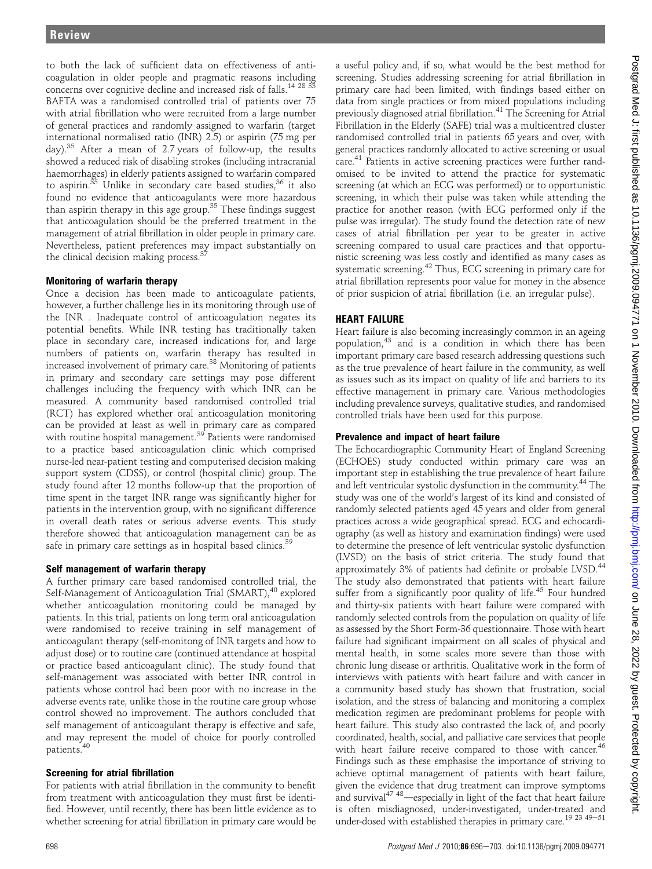to both the lack of sufficient data on effectiveness of anticoagulation in older people and pragmatic reasons including concerns over cognitive decline and increased risk of falls.<sup>14 28 33</sup> BAFTA was a randomised controlled trial of patients over 75 with atrial fibrillation who were recruited from a large number of general practices and randomly assigned to warfarin (target international normalised ratio (INR) 2.5) or aspirin (75 mg per day).<sup>35</sup> After a mean of 2.7 years of follow-up, the results showed a reduced risk of disabling strokes (including intracranial haemorrhages) in elderly patients assigned to warfarin compared to aspirin.<sup>35</sup> Unlike in secondary care based studies,<sup>36</sup> it also found no evidence that anticoagulants were more hazardous than aspirin therapy in this age group.<sup>35</sup> These findings suggest that anticoagulation should be the preferred treatment in the management of atrial fibrillation in older people in primary care. Nevertheless, patient preferences may impact substantially on the clinical decision making process.<sup>3</sup>

### Monitoring of warfarin therapy

Once a decision has been made to anticoagulate patients, however, a further challenge lies in its monitoring through use of the INR . Inadequate control of anticoagulation negates its potential benefits. While INR testing has traditionally taken place in secondary care, increased indications for, and large numbers of patients on, warfarin therapy has resulted in increased involvement of primary care.<sup>38</sup> Monitoring of patients in primary and secondary care settings may pose different challenges including the frequency with which INR can be measured. A community based randomised controlled trial (RCT) has explored whether oral anticoagulation monitoring can be provided at least as well in primary care as compared with routine hospital management.<sup>39</sup> Patients were randomised to a practice based anticoagulation clinic which comprised nurse-led near-patient testing and computerised decision making support system (CDSS), or control (hospital clinic) group. The study found after 12 months follow-up that the proportion of time spent in the target INR range was significantly higher for patients in the intervention group, with no significant difference in overall death rates or serious adverse events. This study therefore showed that anticoagulation management can be as safe in primary care settings as in hospital based clinics.<sup>39</sup>

### Self management of warfarin therapy

A further primary care based randomised controlled trial, the Self-Management of Anticoagulation Trial (SMART),<sup>40</sup> explored whether anticoagulation monitoring could be managed by patients. In this trial, patients on long term oral anticoagulation were randomised to receive training in self management of anticoagulant therapy (self-monitong of INR targets and how to adjust dose) or to routine care (continued attendance at hospital or practice based anticoagulant clinic). The study found that self-management was associated with better INR control in patients whose control had been poor with no increase in the adverse events rate, unlike those in the routine care group whose control showed no improvement. The authors concluded that self management of anticoagulant therapy is effective and safe, and may represent the model of choice for poorly controlled patients.<sup>40</sup>

# Screening for atrial fibrillation

For patients with atrial fibrillation in the community to benefit from treatment with anticoagulation they must first be identified. However, until recently, there has been little evidence as to whether screening for atrial fibrillation in primary care would be

a useful policy and, if so, what would be the best method for screening. Studies addressing screening for atrial fibrillation in primary care had been limited, with findings based either on data from single practices or from mixed populations including previously diagnosed atrial fibrillation.<sup>41</sup> The Screening for Atrial Fibrillation in the Elderly (SAFE) trial was a multicentred cluster randomised controlled trial in patients 65 years and over, with general practices randomly allocated to active screening or usual care.<sup>41</sup> Patients in active screening practices were further randomised to be invited to attend the practice for systematic screening (at which an ECG was performed) or to opportunistic screening, in which their pulse was taken while attending the practice for another reason (with ECG performed only if the pulse was irregular). The study found the detection rate of new cases of atrial fibrillation per year to be greater in active screening compared to usual care practices and that opportunistic screening was less costly and identified as many cases as systematic screening.<sup>42</sup> Thus, ECG screening in primary care for atrial fibrillation represents poor value for money in the absence of prior suspicion of atrial fibrillation (i.e. an irregular pulse).

# HEART FAILURE

Heart failure is also becoming increasingly common in an ageing population,<sup>43</sup> and is a condition in which there has been important primary care based research addressing questions such as the true prevalence of heart failure in the community, as well as issues such as its impact on quality of life and barriers to its effective management in primary care. Various methodologies including prevalence surveys, qualitative studies, and randomised controlled trials have been used for this purpose.

# Prevalence and impact of heart failure

The Echocardiographic Community Heart of England Screening (ECHOES) study conducted within primary care was an important step in establishing the true prevalence of heart failure and left ventricular systolic dysfunction in the community.<sup>44</sup> The study was one of the world's largest of its kind and consisted of randomly selected patients aged 45 years and older from general practices across a wide geographical spread. ECG and echocardiography (as well as history and examination findings) were used to determine the presence of left ventricular systolic dysfunction (LVSD) on the basis of strict criteria. The study found that approximately 3% of patients had definite or probable LVSD.<sup>44</sup> The study also demonstrated that patients with heart failure suffer from a significantly poor quality of life.<sup>45</sup> Four hundred and thirty-six patients with heart failure were compared with randomly selected controls from the population on quality of life as assessed by the Short Form-36 questionnaire. Those with heart failure had significant impairment on all scales of physical and mental health, in some scales more severe than those with chronic lung disease or arthritis. Qualitative work in the form of interviews with patients with heart failure and with cancer in a community based study has shown that frustration, social isolation, and the stress of balancing and monitoring a complex medication regimen are predominant problems for people with heart failure. This study also contrasted the lack of, and poorly coordinated, health, social, and palliative care services that people with heart failure receive compared to those with cancer.<sup>46</sup> Findings such as these emphasise the importance of striving to achieve optimal management of patients with heart failure, given the evidence that drug treatment can improve symptoms and survival<sup>47 48</sup>—especially in light of the fact that heart failure is often misdiagnosed, under-investigated, under-treated and under-dosed with established therapies in primary care.<sup>19 23</sup> <sup>49-51</sup>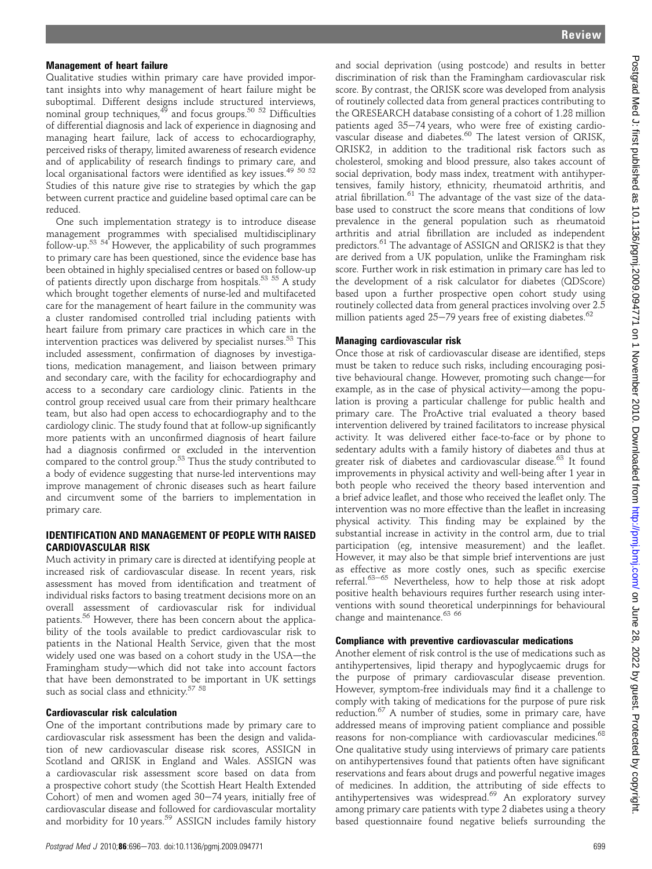# Management of heart failure

Qualitative studies within primary care have provided important insights into why management of heart failure might be suboptimal. Different designs include structured interviews, nominal group techniques, $4^{\overline{9}}$  and focus groups.<sup>50 52</sup> Difficulties of differential diagnosis and lack of experience in diagnosing and managing heart failure, lack of access to echocardiography, perceived risks of therapy, limited awareness of research evidence and of applicability of research findings to primary care, and local organisational factors were identified as key issues.<sup>49 50</sup> <sup>52</sup> Studies of this nature give rise to strategies by which the gap between current practice and guideline based optimal care can be reduced.

One such implementation strategy is to introduce disease management programmes with specialised multidisciplinary follow-up.53 <sup>54</sup> However, the applicability of such programmes to primary care has been questioned, since the evidence base has been obtained in highly specialised centres or based on follow-up of patients directly upon discharge from hospitals.<sup>53 55</sup> A study which brought together elements of nurse-led and multifaceted care for the management of heart failure in the community was a cluster randomised controlled trial including patients with heart failure from primary care practices in which care in the intervention practices was delivered by specialist nurses.<sup>53</sup> This included assessment, confirmation of diagnoses by investigations, medication management, and liaison between primary and secondary care, with the facility for echocardiography and access to a secondary care cardiology clinic. Patients in the control group received usual care from their primary healthcare team, but also had open access to echocardiography and to the cardiology clinic. The study found that at follow-up significantly more patients with an unconfirmed diagnosis of heart failure had a diagnosis confirmed or excluded in the intervention compared to the control group.53 Thus the study contributed to a body of evidence suggesting that nurse-led interventions may improve management of chronic diseases such as heart failure and circumvent some of the barriers to implementation in primary care.

### IDENTIFICATION AND MANAGEMENT OF PEOPLE WITH RAISED CARDIOVASCULAR RISK

Much activity in primary care is directed at identifying people at increased risk of cardiovascular disease. In recent years, risk assessment has moved from identification and treatment of individual risks factors to basing treatment decisions more on an overall assessment of cardiovascular risk for individual patients.<sup>56</sup> However, there has been concern about the applicability of the tools available to predict cardiovascular risk to patients in the National Health Service, given that the most widely used one was based on a cohort study in the USA-the Framingham study-which did not take into account factors that have been demonstrated to be important in UK settings such as social class and ethnicity.<sup>57</sup> <sup>58</sup>

# Cardiovascular risk calculation

One of the important contributions made by primary care to cardiovascular risk assessment has been the design and validation of new cardiovascular disease risk scores, ASSIGN in Scotland and QRISK in England and Wales. ASSIGN was a cardiovascular risk assessment score based on data from a prospective cohort study (the Scottish Heart Health Extended Cohort) of men and women aged  $30-74$  years, initially free of cardiovascular disease and followed for cardiovascular mortality and morbidity for 10 years.<sup>59</sup> ASSIGN includes family history

and social deprivation (using postcode) and results in better discrimination of risk than the Framingham cardiovascular risk score. By contrast, the QRISK score was developed from analysis of routinely collected data from general practices contributing to the QRESEARCH database consisting of a cohort of 1.28 million patients aged 35-74 years, who were free of existing cardiovascular disease and diabetes.<sup>60</sup> The latest version of QRISK, QRISK2, in addition to the traditional risk factors such as cholesterol, smoking and blood pressure, also takes account of social deprivation, body mass index, treatment with antihypertensives, family history, ethnicity, rheumatoid arthritis, and atrial fibrillation.<sup>61</sup> The advantage of the vast size of the database used to construct the score means that conditions of low prevalence in the general population such as rheumatoid arthritis and atrial fibrillation are included as independent predictors.<sup>61</sup> The advantage of ASSIGN and QRISK2 is that they are derived from a UK population, unlike the Framingham risk score. Further work in risk estimation in primary care has led to the development of a risk calculator for diabetes (QDScore) based upon a further prospective open cohort study using routinely collected data from general practices involving over 2.5 million patients aged  $25-79$  years free of existing diabetes.<sup>62</sup>

#### Managing cardiovascular risk

Once those at risk of cardiovascular disease are identified, steps must be taken to reduce such risks, including encouraging positive behavioural change. However, promoting such change-for example, as in the case of physical activity—among the population is proving a particular challenge for public health and primary care. The ProActive trial evaluated a theory based intervention delivered by trained facilitators to increase physical activity. It was delivered either face-to-face or by phone to sedentary adults with a family history of diabetes and thus at greater risk of diabetes and cardiovascular disease.<sup>63</sup> It found improvements in physical activity and well-being after 1 year in both people who received the theory based intervention and a brief advice leaflet, and those who received the leaflet only. The intervention was no more effective than the leaflet in increasing physical activity. This finding may be explained by the substantial increase in activity in the control arm, due to trial participation (eg, intensive measurement) and the leaflet. However, it may also be that simple brief interventions are just as effective as more costly ones, such as specific exercise referral.<sup>63-65</sup> Nevertheless, how to help those at risk adopt positive health behaviours requires further research using interventions with sound theoretical underpinnings for behavioural change and maintenance.<sup>63</sup> <sup>66</sup>

### Compliance with preventive cardiovascular medications

Another element of risk control is the use of medications such as antihypertensives, lipid therapy and hypoglycaemic drugs for the purpose of primary cardiovascular disease prevention. However, symptom-free individuals may find it a challenge to comply with taking of medications for the purpose of pure risk reduction.<sup>67</sup> A number of studies, some in primary care, have addressed means of improving patient compliance and possible reasons for non-compliance with cardiovascular medicines.<sup>68</sup> One qualitative study using interviews of primary care patients on antihypertensives found that patients often have significant reservations and fears about drugs and powerful negative images of medicines. In addition, the attributing of side effects to antihypertensives was widespread.<sup>69</sup> An exploratory survey among primary care patients with type 2 diabetes using a theory based questionnaire found negative beliefs surrounding the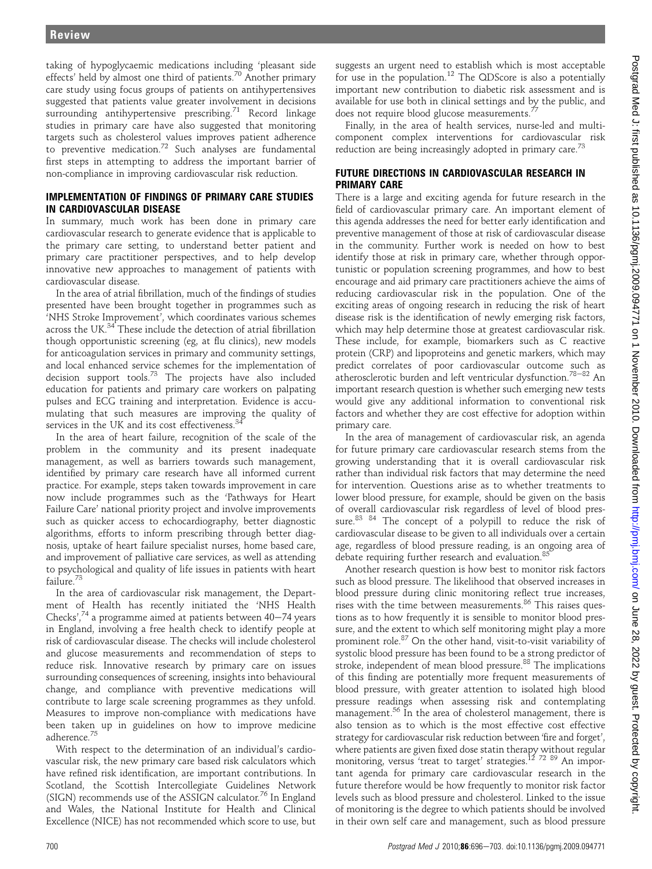taking of hypoglycaemic medications including 'pleasant side effects' held by almost one third of patients.<sup>70</sup> Another primary care study using focus groups of patients on antihypertensives suggested that patients value greater involvement in decisions surrounding antihypertensive prescribing.<sup>71</sup> Record linkage studies in primary care have also suggested that monitoring targets such as cholesterol values improves patient adherence to preventive medication.<sup>72</sup> Such analyses are fundamental first steps in attempting to address the important barrier of non-compliance in improving cardiovascular risk reduction.

### IMPLEMENTATION OF FINDINGS OF PRIMARY CARE STUDIES IN CARDIOVASCULAR DISEASE

In summary, much work has been done in primary care cardiovascular research to generate evidence that is applicable to the primary care setting, to understand better patient and primary care practitioner perspectives, and to help develop innovative new approaches to management of patients with cardiovascular disease.

In the area of atrial fibrillation, much of the findings of studies presented have been brought together in programmes such as 'NHS Stroke Improvement', which coordinates various schemes across the UK. $34$ <sup>'</sup>These include the detection of atrial fibrillation though opportunistic screening (eg, at flu clinics), new models for anticoagulation services in primary and community settings, and local enhanced service schemes for the implementation of decision support tools. $^{73}$  The projects have also included education for patients and primary care workers on palpating pulses and ECG training and interpretation. Evidence is accumulating that such measures are improving the quality of services in the UK and its cost effectiveness. $34$ 

In the area of heart failure, recognition of the scale of the problem in the community and its present inadequate management, as well as barriers towards such management, identified by primary care research have all informed current practice. For example, steps taken towards improvement in care now include programmes such as the 'Pathways for Heart Failure Care' national priority project and involve improvements such as quicker access to echocardiography, better diagnostic algorithms, efforts to inform prescribing through better diagnosis, uptake of heart failure specialist nurses, home based care, and improvement of palliative care services, as well as attending to psychological and quality of life issues in patients with heart failure.<sup>73</sup>

In the area of cardiovascular risk management, the Department of Health has recently initiated the 'NHS Health Checks', $^{74}$  a programme aimed at patients between 40–74 years in England, involving a free health check to identify people at risk of cardiovascular disease. The checks will include cholesterol and glucose measurements and recommendation of steps to reduce risk. Innovative research by primary care on issues surrounding consequences of screening, insights into behavioural change, and compliance with preventive medications will contribute to large scale screening programmes as they unfold. Measures to improve non-compliance with medications have been taken up in guidelines on how to improve medicine adherence.<sup>7</sup>

With respect to the determination of an individual's cardiovascular risk, the new primary care based risk calculators which have refined risk identification, are important contributions. In Scotland, the Scottish Intercollegiate Guidelines Network (SIGN) recommends use of the ASSIGN calculator.<sup>76</sup> In England and Wales, the National Institute for Health and Clinical Excellence (NICE) has not recommended which score to use, but suggests an urgent need to establish which is most acceptable for use in the population.<sup>12</sup> The QDScore is also a potentially important new contribution to diabetic risk assessment and is available for use both in clinical settings and by the public, and does not require blood glucose measurements.<sup>7</sup>

Finally, in the area of health services, nurse-led and multicomponent complex interventions for cardiovascular risk reduction are being increasingly adopted in primary care.<sup>73</sup>

# FUTURE DIRECTIONS IN CARDIOVASCULAR RESEARCH IN PRIMARY CARE

There is a large and exciting agenda for future research in the field of cardiovascular primary care. An important element of this agenda addresses the need for better early identification and preventive management of those at risk of cardiovascular disease in the community. Further work is needed on how to best identify those at risk in primary care, whether through opportunistic or population screening programmes, and how to best encourage and aid primary care practitioners achieve the aims of reducing cardiovascular risk in the population. One of the exciting areas of ongoing research in reducing the risk of heart disease risk is the identification of newly emerging risk factors, which may help determine those at greatest cardiovascular risk. These include, for example, biomarkers such as C reactive protein (CRP) and lipoproteins and genetic markers, which may predict correlates of poor cardiovascular outcome such as atherosclerotic burden and left ventricular dysfunction.<sup>78-82</sup> An important research question is whether such emerging new tests would give any additional information to conventional risk factors and whether they are cost effective for adoption within primary care.

In the area of management of cardiovascular risk, an agenda for future primary care cardiovascular research stems from the growing understanding that it is overall cardiovascular risk rather than individual risk factors that may determine the need for intervention. Questions arise as to whether treatments to lower blood pressure, for example, should be given on the basis of overall cardiovascular risk regardless of level of blood pressure.<sup>83 84</sup> The concept of a polypill to reduce the risk of cardiovascular disease to be given to all individuals over a certain age, regardless of blood pressure reading, is an ongoing area of debate requiring further research and evaluation.<sup>85</sup>

Another research question is how best to monitor risk factors such as blood pressure. The likelihood that observed increases in blood pressure during clinic monitoring reflect true increases, rises with the time between measurements.<sup>86</sup> This raises questions as to how frequently it is sensible to monitor blood pressure, and the extent to which self monitoring might play a more prominent role.<sup>87</sup> On the other hand, visit-to-visit variability of systolic blood pressure has been found to be a strong predictor of stroke, independent of mean blood pressure.<sup>88</sup> The implications of this finding are potentially more frequent measurements of blood pressure, with greater attention to isolated high blood pressure readings when assessing risk and contemplating management.<sup>56</sup> In the area of cholesterol management, there is also tension as to which is the most effective cost effective strategy for cardiovascular risk reduction between 'fire and forget', where patients are given fixed dose statin therapy without regular monitoring, versus 'treat to target' strategies.<sup>12 72 89</sup> An important agenda for primary care cardiovascular research in the future therefore would be how frequently to monitor risk factor levels such as blood pressure and cholesterol. Linked to the issue of monitoring is the degree to which patients should be involved in their own self care and management, such as blood pressure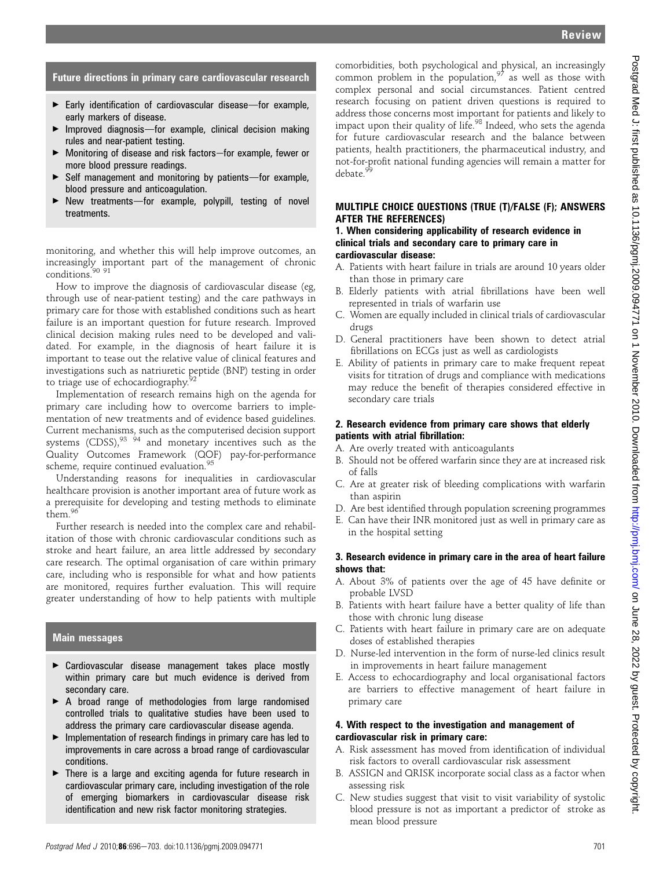#### Future directions in primary care cardiovascular research

- $\blacktriangleright$  Early identification of cardiovascular disease-for example, early markers of disease.
- $\blacktriangleright$  Improved diagnosis-for example, clinical decision making rules and near-patient testing.
- $\blacktriangleright$  Monitoring of disease and risk factors-for example, fewer or more blood pressure readings.
- $\triangleright$  Self management and monitoring by patients—for example, blood pressure and anticoagulation.
- New treatments-for example, polypill, testing of novel treatments.

monitoring, and whether this will help improve outcomes, an increasingly important part of the management of chronic conditions.90 91

How to improve the diagnosis of cardiovascular disease (eg, through use of near-patient testing) and the care pathways in primary care for those with established conditions such as heart failure is an important question for future research. Improved clinical decision making rules need to be developed and validated. For example, in the diagnosis of heart failure it is important to tease out the relative value of clinical features and investigations such as natriuretic peptide (BNP) testing in order to triage use of echocardiography.

Implementation of research remains high on the agenda for primary care including how to overcome barriers to implementation of new treatments and of evidence based guidelines. Current mechanisms, such as the computerised decision support systems  $(CDSS)$ ,<sup>93 94</sup> and monetary incentives such as the Quality Outcomes Framework (QOF) pay-for-performance scheme, require continued evaluation.<sup>95</sup>

Understanding reasons for inequalities in cardiovascular healthcare provision is another important area of future work as a prerequisite for developing and testing methods to eliminate them  $96$ 

Further research is needed into the complex care and rehabilitation of those with chronic cardiovascular conditions such as stroke and heart failure, an area little addressed by secondary care research. The optimal organisation of care within primary care, including who is responsible for what and how patients are monitored, requires further evaluation. This will require greater understanding of how to help patients with multiple

#### Main messages

- ▶ Cardiovascular disease management takes place mostly within primary care but much evidence is derived from secondary care.
- A broad range of methodologies from large randomised controlled trials to qualitative studies have been used to address the primary care cardiovascular disease agenda.
- ▶ Implementation of research findings in primary care has led to improvements in care across a broad range of cardiovascular conditions.
- $\triangleright$  There is a large and exciting agenda for future research in cardiovascular primary care, including investigation of the role of emerging biomarkers in cardiovascular disease risk identification and new risk factor monitoring strategies.

comorbidities, both psychological and physical, an increasingly common problem in the population,  $97$  as well as those with complex personal and social circumstances. Patient centred research focusing on patient driven questions is required to address those concerns most important for patients and likely to impact upon their quality of life.<sup>98</sup> Indeed, who sets the agenda for future cardiovascular research and the balance between patients, health practitioners, the pharmaceutical industry, and not-for-profit national funding agencies will remain a matter for debate.<sup>9</sup>

#### MULTIPLE CHOICE QUESTIONS (TRUE (T)/FALSE (F); ANSWERS AFTER THE REFERENCES)

#### 1. When considering applicability of research evidence in clinical trials and secondary care to primary care in cardiovascular disease:

- A. Patients with heart failure in trials are around 10 years older than those in primary care
- B. Elderly patients with atrial fibrillations have been well represented in trials of warfarin use
- C. Women are equally included in clinical trials of cardiovascular drugs
- D. General practitioners have been shown to detect atrial fibrillations on ECGs just as well as cardiologists
- E. Ability of patients in primary care to make frequent repeat visits for titration of drugs and compliance with medications may reduce the benefit of therapies considered effective in secondary care trials

#### 2. Research evidence from primary care shows that elderly patients with atrial fibrillation:

- A. Are overly treated with anticoagulants
- B. Should not be offered warfarin since they are at increased risk of falls
- C. Are at greater risk of bleeding complications with warfarin than aspirin
- D. Are best identified through population screening programmes
- E. Can have their INR monitored just as well in primary care as in the hospital setting

### 3. Research evidence in primary care in the area of heart failure shows that:

- A. About 3% of patients over the age of 45 have definite or probable LVSD
- B. Patients with heart failure have a better quality of life than those with chronic lung disease
- C. Patients with heart failure in primary care are on adequate doses of established therapies
- D. Nurse-led intervention in the form of nurse-led clinics result in improvements in heart failure management
- E. Access to echocardiography and local organisational factors are barriers to effective management of heart failure in primary care

#### 4. With respect to the investigation and management of cardiovascular risk in primary care:

- A. Risk assessment has moved from identification of individual risk factors to overall cardiovascular risk assessment
- B. ASSIGN and QRISK incorporate social class as a factor when assessing risk
- C. New studies suggest that visit to visit variability of systolic blood pressure is not as important a predictor of stroke as mean blood pressure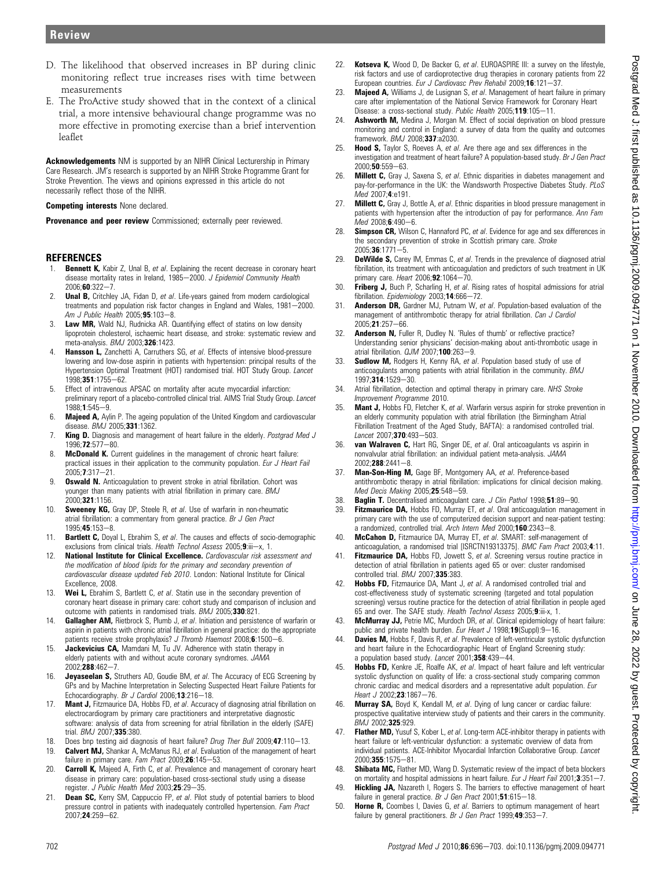# Review

- D. The likelihood that observed increases in BP during clinic monitoring reflect true increases rises with time between measurements
- E. The ProActive study showed that in the context of a clinical trial, a more intensive behavioural change programme was no more effective in promoting exercise than a brief intervention leaflet

Acknowledgements NM is supported by an NIHR Clinical Lecturership in Primary Care Research. JM's research is supported by an NIHR Stroke Programme Grant for Stroke Prevention. The views and opinions expressed in this article do not necessarily reflect those of the NIHR.

#### Competing interests None declared.

Provenance and peer review Commissioned; externally peer reviewed.

#### **REFERENCES**

- 1. **Bennett K,** Kabir Z, Unal B, et al. Explaining the recent decrease in coronary heart disease mortality rates in Ireland, 1985-2000. J Epidemiol Community Health  $200660:322 - 7$
- 2. **Unal B,** Critchley JA, Fidan D, et al. Life-years gained from modern cardiological treatments and population risk factor changes in England and Wales, 1981-2000. Am J Public Health 2005;95:103-8.
- 3. **Law MR,** Wald NJ, Rudnicka AR. Quantifying effect of statins on low density lipoprotein cholesterol, ischaemic heart disease, and stroke: systematic review and meta-analysis. BMJ 2003;326:1423.
- 4. Hansson L, Zanchetti A, Carruthers SG, et al. Effects of intensive blood-pressure lowering and low-dose aspirin in patients with hypertension: principal results of the Hypertension Optimal Treatment (HOT) randomised trial. HOT Study Group. Lancet 1998;351:1755-62.
- 5. Effect of intravenous APSAC on mortality after acute myocardial infarction: preliminary report of a placebo-controlled clinical trial. AIMS Trial Study Group. Lancet 1988:1:545-9.
- 6. Majeed A, Aylin P. The ageing population of the United Kingdom and cardiovascular disease. BMJ 2005;331:1362.
- 7. King D. Diagnosis and management of heart failure in the elderly. Postgrad Med J 1996:72:577-80.
- 8. McDonald K. Current guidelines in the management of chronic heart failure: practical issues in their application to the community population. Eur J Heart Fail  $2005:7:317 - 21$
- 9. **Oswald N.** Anticoagulation to prevent stroke in atrial fibrillation. Cohort was younger than many patients with atrial fibrillation in primary care. BMJ 2000;321:1156.
- 10. Sweeney KG, Gray DP, Steele R, et al. Use of warfarin in non-rheumatic atrial fibrillation: a commentary from general practice. Br J Gen Pract  $1995:45:153-8$
- 11. **Bartlett C,** Doyal L, Ebrahim S, et al. The causes and effects of socio-demographic exclusions from clinical trials. Health Technol Assess 2005;9:iii-x, 1.
- 12. National Institute for Clinical Excellence. Cardiovascular risk assessment and the modification of blood lipids for the primary and secondary prevention of cardiovascular disease updated Feb 2010. London: National Institute for Clinical Excellence, 2008.
- 13. Wei L, Ebrahim S, Bartlett C, et al. Statin use in the secondary prevention of coronary heart disease in primary care: cohort study and comparison of inclusion and outcome with patients in randomised trials. BMJ 2005;330:821.
- 14. **Gallagher AM, Rietbrock S, Plumb J, et al. Initiation and persistence of warfarin or** aspirin in patients with chronic atrial fibrillation in general practice: do the appropriate patients receive stroke prophylaxis? J Thromb Haemost 2008;6:1500-6.
- 15. Jackevicius CA, Mamdani M, Tu JV. Adherence with statin therapy in elderly patients with and without acute coronary syndromes. JAMA  $2002:288:462-7$
- 16. Jeyaseelan S, Struthers AD, Goudie BM, et al. The Accuracy of ECG Screening by GPs and by Machine Interpretation in Selecting Suspected Heart Failure Patients for Echocardiography. Br J Cardiol 2006;13:216-18.
- 17. **Mant J,** Fitzmaurice DA, Hobbs FD, et al. Accuracy of diagnosing atrial fibrillation on electrocardiogram by primary care practitioners and interpretative diagnostic software: analysis of data from screening for atrial fibrillation in the elderly (SAFE) trial. **BMJ 2007:335:380**.
- 18. Does bnp testing aid diagnosis of heart failure? Drug Ther Bull 2009;47:110-13.
- 19. **Calvert MJ,** Shankar A, McManus RJ, et al. Evaluation of the management of heart failure in primary care. Fam Pract  $2009;26:145-53$ .
- 20. Carroll K, Majeed A, Firth C, et al. Prevalence and management of coronary heart disease in primary care: population-based cross-sectional study using a disease register. J Public Health Med 2003;25:29-35.
- 21. **Dean SC,** Kerry SM, Cappuccio FP, et al. Pilot study of potential barriers to blood pressure control in patients with inadequately controlled hypertension. Fam Pract 2007;24:259-62.
- 22. Kotseva K, Wood D, De Backer G, et al. EUROASPIRE III: a survey on the lifestyle risk factors and use of cardioprotective drug therapies in coronary patients from 22 European countries. Eur J Cardiovasc Prev Rehabil 2009;16:121-37.
- 23. Majeed A, Williams J, de Lusignan S, et al. Management of heart failure in primary care after implementation of the National Service Framework for Coronary Heart Disease: a cross-sectional study. Public Health 2005;119:105-11.
- 24. **Ashworth M,** Medina J, Morgan M. Effect of social deprivation on blood pressure monitoring and control in England: a survey of data from the quality and outcomes framework. BMJ 2008;337:a2030.
- 25. **Hood S,** Taylor S, Roeves A, et al. Are there age and sex differences in the investigation and treatment of heart failure? A population-based study. Br J Gen Pract  $2000:50:559-63$
- 26. **Millett C,** Gray J, Saxena S, et al. Ethnic disparities in diabetes management and pay-for-performance in the UK: the Wandsworth Prospective Diabetes Study. PLoS Med 2007;4:e191.
- 27. Millett C, Gray J, Bottle A, et al. Ethnic disparities in blood pressure management in patients with hypertension after the introduction of pay for performance. Ann Fam  $Med$  2008; $6:490-6$ .
- 28. Simpson CR, Wilson C, Hannaford PC, et al. Evidence for age and sex differences in the secondary prevention of stroke in Scottish primary care. Stroke  $2005:36:1771-5$
- 29. DeWilde S, Carey IM, Emmas C, et al. Trends in the prevalence of diagnosed atrial fibrillation, its treatment with anticoagulation and predictors of such treatment in UK primary care. Heart  $2006;$ 92:1064 $-70$ .
- 30. **Friberg J, Buch P, Scharling H, et al. Rising rates of hospital admissions for atrial** fibrillation. Epidemiology 2003;14:666-72.
- 31. **Anderson DR,** Gardner MJ, Putnam W, et al. Population-based evaluation of the management of antithrombotic therapy for atrial fibrillation. Can J Cardiol  $2005:21:257 - 66$
- 32. **Anderson N, Fuller R, Dudley N. 'Rules of thumb' or reflective practice?** Understanding senior physicians' decision-making about anti-thrombotic usage in atrial fibrillation.  $\Omega$ JM 2007;100:263-9.
- 33. Sudlow M, Rodgers H, Kenny RA, et al. Population based study of use of anticoagulants among patients with atrial fibrillation in the community. BMJ 1997:314:1529-30.
- 34. Atrial fibrillation, detection and optimal therapy in primary care. NHS Stroke Improvement Programme 2010.
- 35. Mant J, Hobbs FD, Fletcher K, et al. Warfarin versus aspirin for stroke prevention in an elderly community population with atrial fibrillation (the Birmingham Atrial Fibrillation Treatment of the Aged Study, BAFTA): a randomised controlled trial.  $L$ ancet 2007;370:493-503.
- 36. van Walraven C, Hart RG, Singer DE, et al. Oral anticoagulants vs aspirin in nonvalvular atrial fibrillation: an individual patient meta-analysis. JAMA 2002:288:2441-8.
- 37. Man-Son-Hing M, Gage BF, Montgomery AA, et al. Preference-based antithrombotic therapy in atrial fibrillation: implications for clinical decision making. Med Decis Making  $2005:25:548-59$ .
- 38. **Baglin T.** Decentralised anticoagulant care. *J Clin Pathol* 1998;**51**:89–90.<br>39. **Fitzmaurice DA**. Hobbs FD. Murray FT *et al.* Oral anticoagulation managu
- Fitzmaurice DA, Hobbs FD, Murray ET, et al. Oral anticoagulation management in primary care with the use of computerized decision support and near-patient testing: a randomized, controlled trial. Arch Intern Med  $2000$ ; 160:2343-8.
- 40. McCahon D, Fitzmaurice DA, Murray ET, et al. SMART: self-management of anticoagulation, a randomised trial [ISRCTN19313375]. BMC Fam Pract 2003;4:11.
- 41. Fitzmaurice DA, Hobbs FD, Jowett S, et al. Screening versus routine practice in detection of atrial fibrillation in patients aged 65 or over: cluster randomised controlled trial. *BMJ* 2007;**335**:383.
- 42. Hobbs FD, Fitzmaurice DA, Mant J, et al. A randomised controlled trial and cost-effectiveness study of systematic screening (targeted and total population screening) versus routine practice for the detection of atrial fibrillation in people aged 65 and over. The SAFE study. Health Technol Assess 2005;9:iii-x, 1.
- 43. McMurray JJ, Petrie MC, Murdoch DR, et al. Clinical epidemiology of heart failure: public and private health burden. Eur Heart J 1998;19(Suppl):9-16.
- 44. **Davies M,** Hobbs F, Davis R, et al. Prevalence of left-ventricular systolic dysfunction and heart failure in the Echocardiographic Heart of England Screening study: a population based study. Lancet  $2001$ ; 358:439-44.
- 45. Hobbs FD, Kenkre JE, Roalfe AK, et al. Impact of heart failure and left ventricular systolic dysfunction on quality of life: a cross-sectional study comparing common chronic cardiac and medical disorders and a representative adult population. Eur Heart J 2002;23:1867-76.
- 46. Murray SA, Boyd K, Kendall M, et al. Dying of lung cancer or cardiac failure: prospective qualitative interview study of patients and their carers in the community. BMJ 2002;325:929.
- Flather MD, Yusuf S, Kober L, et al. Long-term ACE-inhibitor therapy in patients with heart failure or left-ventricular dysfunction: a systematic overview of data from individual patients. ACE-Inhibitor Myocardial Infarction Collaborative Group. Lancet  $2000:355:1575 - 81$
- 48. Shibata MC, Flather MD, Wang D. Systematic review of the impact of beta blockers on mortality and hospital admissions in heart failure. Eur J Heart Fail 2001;3:351-7.
- 49. Hickling JA, Nazareth I, Rogers S. The barriers to effective management of heart failure in general practice. Br J Gen Pract 2001;51:615-18.
- 50. **Horne R,** Coombes I, Davies G, et al. Barriers to optimum management of heart failure by general practitioners. Br J Gen Pract 1999; 49:353-7.